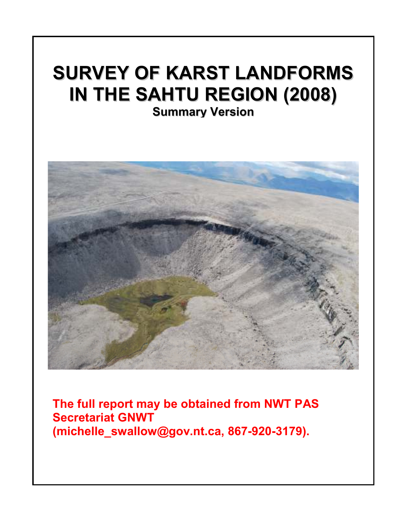## SURVEY OF KARST LANDFORMS IN THE SAHTU REGION (2008) Summary Version



The full report may be obtained from NWT PAS Secretariat GNWT (michelle\_swallow@gov.nt.ca). Secretariat GNWT (michelle\_swallow@gov.nt.ca, 867-920-3179).